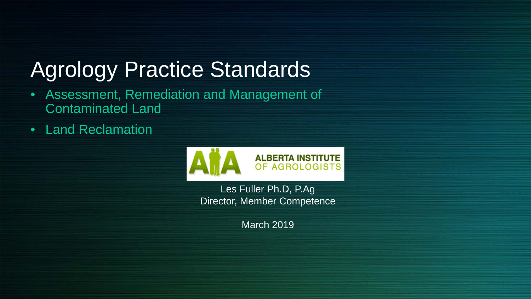# Agrology Practice Standards

- Assessment, Remediation and Management of Contaminated Land
- Land Reclamation



Les Fuller Ph.D, P.Ag Director, Member Competence

March 2019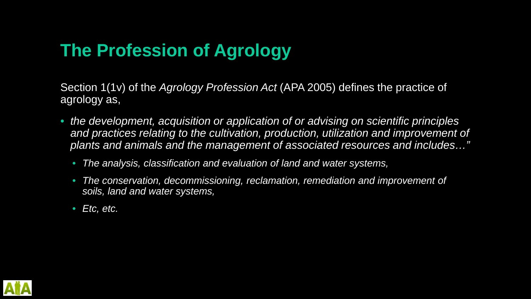# **The Profession of Agrology**

Section 1(1v) of the *Agrology Profession Act* (APA 2005) defines the practice of agrology as,

- *the development, acquisition or application of or advising on scientific principles*  and practices relating to the cultivation, production, utilization and improvement of *plants and animals and the management of associated resources and includes…"*
	- *The analysis, classification and evaluation of land and water systems,*
	- *The conservation, decommissioning, reclamation, remediation and improvement of soils, land and water systems,*
	- *Etc, etc.*

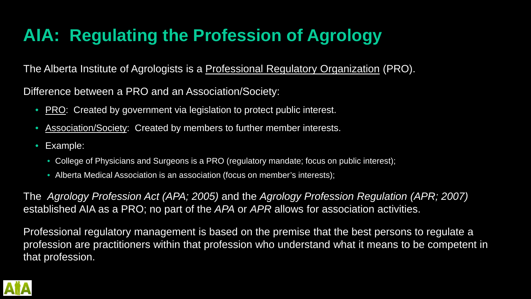# **AIA: Regulating the Profession of Agrology**

The Alberta Institute of Agrologists is a Professional Regulatory Organization (PRO).

Difference between a PRO and an Association/Society:

- PRO: Created by government via legislation to protect public interest.
- Association/Society: Created by members to further member interests.
- Example:
	- College of Physicians and Surgeons is a PRO (regulatory mandate; focus on public interest);
	- Alberta Medical Association is an association (focus on member's interests);

The *Agrology Profession Act (APA; 2005)* and the *Agrology Profession Regulation (APR; 2007)*  established AIA as a PRO; no part of the *APA* or *APR* allows for association activities.

Professional regulatory management is based on the premise that the best persons to regulate a profession are practitioners within that profession who understand what it means to be competent in that profession.

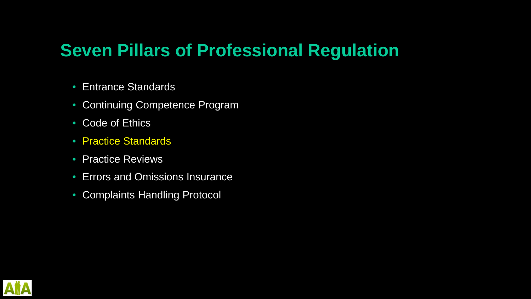## **Seven Pillars of Professional Regulation**

- Entrance Standards
- Continuing Competence Program
- Code of Ethics
- Practice Standards
- Practice Reviews
- Errors and Omissions Insurance
- Complaints Handling Protocol

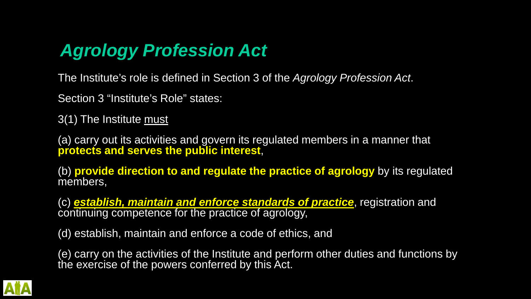## *Agrology Profession Act*

The Institute's role is defined in Section 3 of the *Agrology Profession Act*.

Section 3 "Institute's Role" states:

3(1) The Institute must

(a) carry out its activities and govern its regulated members in a manner that **protects and serves the public interest**,

(b) **provide direction to and regulate the practice of agrology** by its regulated members,

(c) *establish, maintain and enforce standards of practice*, registration and continuing competence for the practice of agrology,

(d) establish, maintain and enforce a code of ethics, and

(e) carry on the activities of the Institute and perform other duties and functions by the exercise of the powers conferred by this Act.

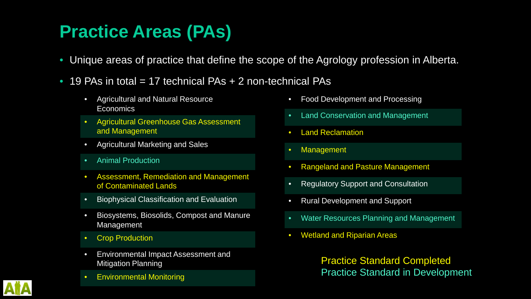# **Practice Areas (PAs)**

- Unique areas of practice that define the scope of the Agrology profession in Alberta.
- 19 PAs in total  $= 17$  technical PAs  $+ 2$  non-technical PAs
	- Agricultural and Natural Resource **Economics**
	- Agricultural Greenhouse Gas Assessment and Management
	- Agricultural Marketing and Sales
	- Animal Production
	- Assessment, Remediation and Management of Contaminated Lands
	- **Biophysical Classification and Evaluation**
	- Biosystems, Biosolids, Compost and Manure Management
	- Crop Production
	- Environmental Impact Assessment and **Mitigation Planning**
	- Environmental Monitoring
- Food Development and Processing
- Land Conservation and Management
- **Land Reclamation**
- **Management**
- Rangeland and Pasture Management
- Regulatory Support and Consultation
- Rural Development and Support
- Water Resources Planning and Management
- Wetland and Riparian Areas

Practice Standard Completed Practice Standard in Development

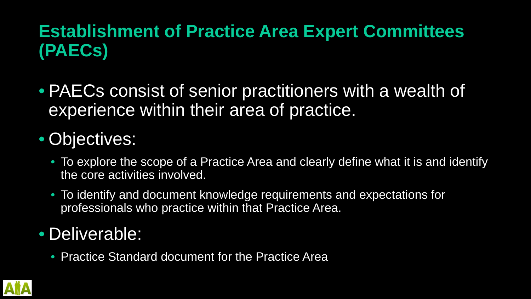# **Establishment of Practice Area Expert Committees (PAECs)**

• PAECs consist of senior practitioners with a wealth of experience within their area of practice.

# • Objectives:

- To explore the scope of a Practice Area and clearly define what it is and identify the core activities involved.
- To identify and document knowledge requirements and expectations for professionals who practice within that Practice Area.

## • Deliverable:

• Practice Standard document for the Practice Area

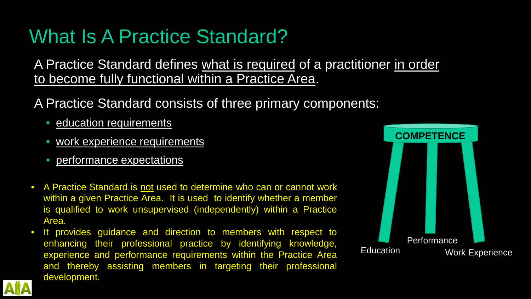# What Is A Practice Standard?

A Practice Standard defines what is required of a practitioner in order to become fully functional within a Practice Area.

#### A Practice Standard consists of three primary components:

- education requirements
- work experience requirements
- performance expectations
- A Practice Standard is not used to determine who can or cannot work within a given Practice Area. It is used to identify whether a member is qualified to work unsupervised (independently) within a Practice Area.
- It provides guidance and direction to members with respect to enhancing their professional practice by identifying knowledge, experience and performance requirements within the Practice Area and thereby assisting members in targeting their professional development.



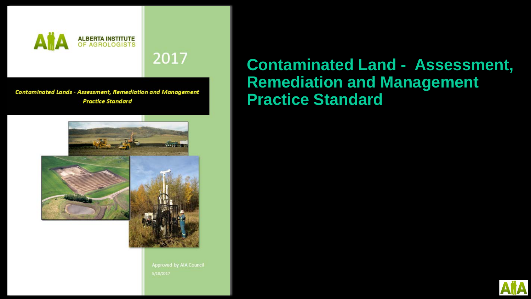

2017

**Contaminated Lands - Assessment, Remediation and Management Practice Standard** 



Approved by AIA Council 5/18/2017

#### **Contaminated Land - Assessment, Remediation and Management Practice Standard**

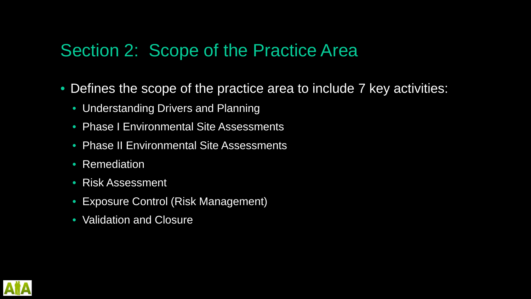### Section 2: Scope of the Practice Area

- Defines the scope of the practice area to include 7 key activities:
	- Understanding Drivers and Planning
	- Phase I Environmental Site Assessments
	- Phase II Environmental Site Assessments
	- Remediation
	- Risk Assessment
	- Exposure Control (Risk Management)
	- Validation and Closure

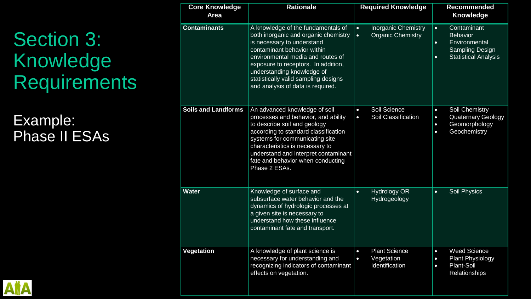# Section 3: Knowledge **Requirements**

Example: Phase II ESAs

| <b>Core Knowledge</b><br><b>Area</b> | <b>Rationale</b>                                                                                                                                                                                                                                                                                                               | <b>Required Knowledge</b>                                                        | <b>Recommended</b><br><b>Knowledge</b>                                                                                                          |
|--------------------------------------|--------------------------------------------------------------------------------------------------------------------------------------------------------------------------------------------------------------------------------------------------------------------------------------------------------------------------------|----------------------------------------------------------------------------------|-------------------------------------------------------------------------------------------------------------------------------------------------|
| <b>Contaminants</b>                  | A knowledge of the fundamentals of<br>both inorganic and organic chemistry<br>is necessary to understand<br>contaminant behavior within<br>environmental media and routes of<br>exposure to receptors. In addition,<br>understanding knowledge of<br>statistically valid sampling designs<br>and analysis of data is required. | <b>Inorganic Chemistry</b><br>$\bullet$<br><b>Organic Chemistry</b><br>$\bullet$ | Contaminant<br>$\bullet$<br><b>Behavior</b><br>Environmental<br>$\bullet$<br><b>Sampling Design</b><br><b>Statistical Analysis</b><br>$\bullet$ |
| <b>Soils and Landforms</b>           | An advanced knowledge of soil<br>processes and behavior, and ability<br>to describe soil and geology<br>according to standard classification<br>systems for communicating site<br>characteristics is necessary to<br>understand and interpret contaminant<br>fate and behavior when conducting<br>Phase 2 ESAs.                | Soil Science<br>$\bullet$<br>Soil Classification<br>$\bullet$                    | Soil Chemistry<br>$\bullet$<br><b>Quaternary Geology</b><br>$\bullet$<br>Geomorphology<br>$\bullet$<br>Geochemistry<br>$\bullet$                |
| <b>Water</b>                         | Knowledge of surface and<br>subsurface water behavior and the<br>dynamics of hydrologic processes at<br>a given site is necessary to<br>understand how these influence<br>contaminant fate and transport.                                                                                                                      | <b>Hydrology OR</b><br>$\bullet$<br>Hydrogeology                                 | Soil Physics<br>$\bullet$                                                                                                                       |
| Vegetation                           | A knowledge of plant science is<br>necessary for understanding and<br>recognizing indicators of contaminant<br>effects on vegetation.                                                                                                                                                                                          | <b>Plant Science</b><br>Vegetation<br>$\bullet$<br>Identification                | Weed Science<br><b>Plant Physiology</b><br>$\bullet$<br><b>Plant-Soil</b><br>$\bullet$<br><b>Relationships</b>                                  |

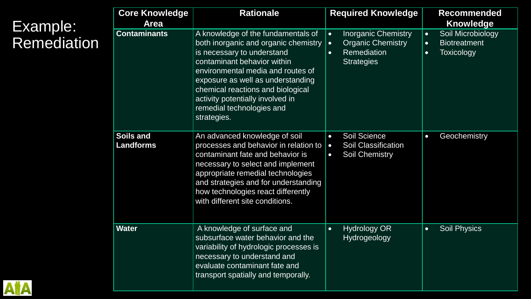### Example: Remediation

| <b>Core Knowledge</b><br><b>Area</b> | <b>Rationale</b>                                                                                                                                                                                                                                                                                                                       | <b>Required Knowledge</b>                                                                                                                | <b>Recommended</b><br><b>Knowledge</b>                                                               |
|--------------------------------------|----------------------------------------------------------------------------------------------------------------------------------------------------------------------------------------------------------------------------------------------------------------------------------------------------------------------------------------|------------------------------------------------------------------------------------------------------------------------------------------|------------------------------------------------------------------------------------------------------|
| <b>Contaminants</b>                  | A knowledge of the fundamentals of<br>both inorganic and organic chemistry<br>is necessary to understand<br>contaminant behavior within<br>environmental media and routes of<br>exposure as well as understanding<br>chemical reactions and biological<br>activity potentially involved in<br>remedial technologies and<br>strategies. | <b>Inorganic Chemistry</b><br>$\bullet$<br><b>Organic Chemistry</b><br>$\bullet$<br><b>Remediation</b><br>$\bullet$<br><b>Strategies</b> | Soil Microbiology<br>$\bullet$<br><b>Biotreatment</b><br>$\bullet$<br><b>Toxicology</b><br>$\bullet$ |
| <b>Soils and</b><br><b>Landforms</b> | An advanced knowledge of soil<br>processes and behavior in relation to<br>contaminant fate and behavior is<br>necessary to select and implement<br>appropriate remedial technologies<br>and strategies and for understanding<br>how technologies react differently<br>with different site conditions.                                  | <b>Soil Science</b><br>$\bullet$<br><b>Soil Classification</b><br>$\bullet$<br><b>Soil Chemistry</b><br>$\bullet$                        | Geochemistry<br>$\bullet$                                                                            |
| <b>Water</b>                         | A knowledge of surface and<br>subsurface water behavior and the<br>variability of hydrologic processes is<br>necessary to understand and<br>evaluate contaminant fate and<br>transport spatially and temporally.                                                                                                                       | <b>Hydrology OR</b><br>$\bullet$<br>Hydrogeology                                                                                         | <b>Soil Physics</b><br>$\bullet$                                                                     |

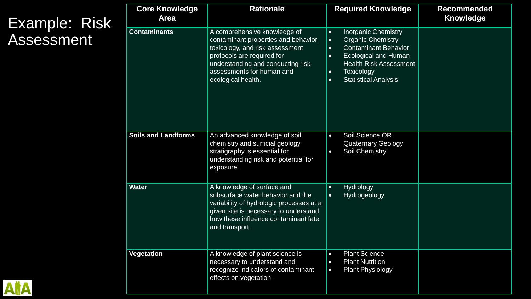#### Example: Risk Assessment

| <b>Core Knowledge</b><br><b>Area</b> | <b>Rationale</b>                                                                                                                                                                                                              | <b>Required Knowledge</b>                                                                                                                                                                                                                                                               | Recommended<br><b>Knowledge</b> |
|--------------------------------------|-------------------------------------------------------------------------------------------------------------------------------------------------------------------------------------------------------------------------------|-----------------------------------------------------------------------------------------------------------------------------------------------------------------------------------------------------------------------------------------------------------------------------------------|---------------------------------|
| <b>Contaminants</b>                  | A comprehensive knowledge of<br>contaminant properties and behavior,<br>toxicology, and risk assessment<br>protocols are required for<br>understanding and conducting risk<br>assessments for human and<br>ecological health. | <b>Inorganic Chemistry</b><br>$\bullet$<br><b>Organic Chemistry</b><br>$\bullet$<br><b>Contaminant Behavior</b><br>$\bullet$<br><b>Ecological and Human</b><br>$\bullet$<br><b>Health Risk Assessment</b><br><b>Toxicology</b><br>$\bullet$<br><b>Statistical Analysis</b><br>$\bullet$ |                                 |
| <b>Soils and Landforms</b>           | An advanced knowledge of soil<br>chemistry and surficial geology<br>stratigraphy is essential for<br>understanding risk and potential for<br>exposure.                                                                        | Soil Science OR<br>$\bullet$<br><b>Quaternary Geology</b><br><b>Soil Chemistry</b><br>$\bullet$                                                                                                                                                                                         |                                 |
| <b>Water</b>                         | A knowledge of surface and<br>subsurface water behavior and the<br>variability of hydrologic processes at a<br>given site is necessary to understand<br>how these influence contaminant fate<br>and transport.                | Hydrology<br>$\bullet$<br>Hydrogeology<br>$\bullet$                                                                                                                                                                                                                                     |                                 |
| <b>Vegetation</b>                    | A knowledge of plant science is<br>necessary to understand and<br>recognize indicators of contaminant<br>effects on vegetation.                                                                                               | <b>Plant Science</b><br>$\bullet$<br><b>Plant Nutrition</b><br>$\bullet$<br><b>Plant Physiology</b><br>$\bullet$                                                                                                                                                                        |                                 |

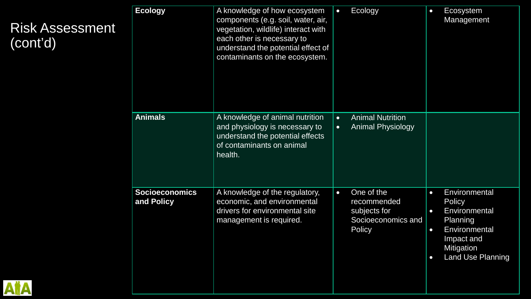| ent | <b>Ecology</b>                      | A knowledge of how ecosystem<br>components (e.g. soil, water, air,<br>vegetation, wildlife) interact with<br>each other is necessary to<br>understand the potential effect of<br>contaminants on the ecosystem. | $\bullet$              | Ecology                                                                   | $\bullet$                                        | Ecosystem<br>Management                                                                                                              |
|-----|-------------------------------------|-----------------------------------------------------------------------------------------------------------------------------------------------------------------------------------------------------------------|------------------------|---------------------------------------------------------------------------|--------------------------------------------------|--------------------------------------------------------------------------------------------------------------------------------------|
|     | <b>Animals</b>                      | A knowledge of animal nutrition<br>and physiology is necessary to<br>understand the potential effects<br>of contaminants on animal<br>health.                                                                   | $\bullet$<br>$\bullet$ | <b>Animal Nutrition</b><br><b>Animal Physiology</b>                       |                                                  |                                                                                                                                      |
|     | <b>Socioeconomics</b><br>and Policy | A knowledge of the regulatory,<br>economic, and environmental<br>drivers for environmental site<br>management is required.                                                                                      | $\bullet$              | One of the<br>recommended<br>subjects for<br>Socioeconomics and<br>Policy | $\bullet$<br>$\bullet$<br>$\bullet$<br>$\bullet$ | Environmental<br><b>Policy</b><br>Environmental<br>Planning<br>Environmental<br>Impact and<br>Mitigation<br><b>Land Use Planning</b> |

#### Risk Assessment (cont'd)

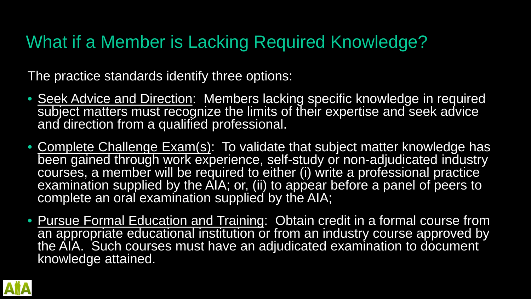# What if a Member is Lacking Required Knowledge?

The practice standards identify three options:

- Seek Advice and Direction: Members lacking specific knowledge in required subject matters must recognize the limits of their expertise and seek advice and direction from a qualified professional.
- Complete Challenge Exam(s): To validate that subject matter knowledge has been gained through work experience, self-study or non-adjudicated industry courses, a member will be required to either (i) write a professional practice examination supplied by the AIA; or, (ii) to appear before a panel of peers to complete an oral examination supplied by the AIA;
- Pursue Formal Education and Training: Obtain credit in a formal course from an appropriate educational institution or from an industry course approved by the AIA. Such courses must have an adjudicated examination to document knowledge attained.

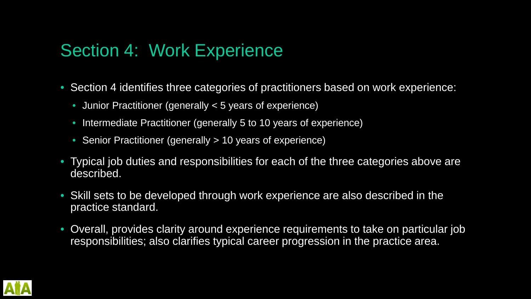### Section 4: Work Experience

- Section 4 identifies three categories of practitioners based on work experience:
	- Junior Practitioner (generally < 5 years of experience)
	- Intermediate Practitioner (generally 5 to 10 years of experience)
	- Senior Practitioner (generally > 10 years of experience)
- Typical job duties and responsibilities for each of the three categories above are described.
- Skill sets to be developed through work experience are also described in the practice standard.
- Overall, provides clarity around experience requirements to take on particular job responsibilities; also clarifies typical career progression in the practice area.

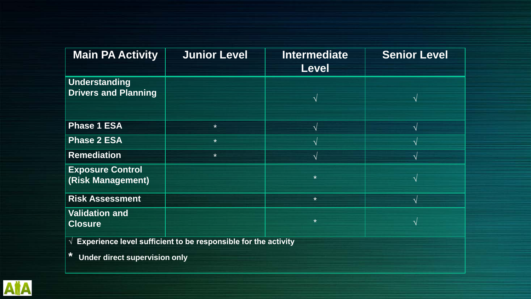| <b>Main PA Activity</b>                                                   | <b>Junior Level</b> | <b>Intermediate</b><br><b>Level</b> | <b>Senior Level</b> |  |
|---------------------------------------------------------------------------|---------------------|-------------------------------------|---------------------|--|
| Understanding<br><b>Drivers and Planning</b>                              |                     |                                     | $\mathcal{N}$       |  |
| <b>Phase 1 ESA</b>                                                        | $\star$             | $\mathcal{N}$                       | $\sqrt{ }$          |  |
| <b>Phase 2 ESA</b>                                                        | $\star$             |                                     | $\sqrt{}$           |  |
| <b>Remediation</b>                                                        | $\star$             |                                     | $\sqrt{ }$          |  |
| <b>Exposure Control</b><br>(Risk Management)                              |                     | $\star$                             | $\sqrt{}$           |  |
| <b>Risk Assessment</b>                                                    |                     | $\star$                             | $\mathcal{N}$       |  |
| <b>Validation and</b><br><b>Closure</b>                                   |                     | $\star$                             | $\sqrt{ }$          |  |
| $\sqrt{2}$ Experience level sufficient to be responsible for the activity |                     |                                     |                     |  |

**\* Under direct supervision only**

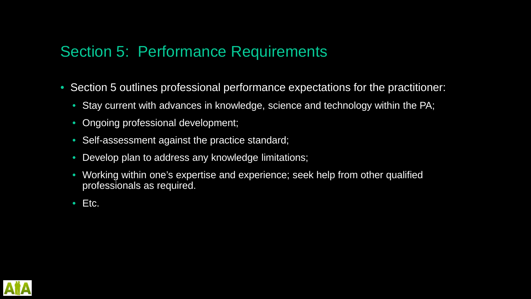#### Section 5: Performance Requirements

- Section 5 outlines professional performance expectations for the practitioner:
	- Stay current with advances in knowledge, science and technology within the PA;
	- Ongoing professional development;
	- Self-assessment against the practice standard;
	- Develop plan to address any knowledge limitations;
	- Working within one's expertise and experience; seek help from other qualified professionals as required.
	- Etc.

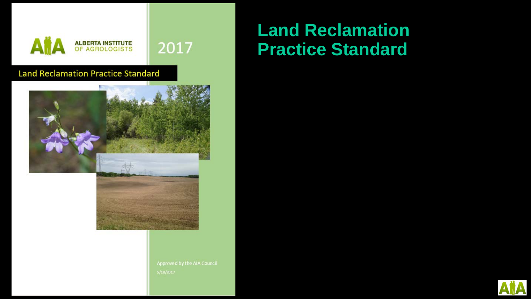

#### **Land Reclamation Practice Standard**



Approved by the AIA Council

### **Land Reclamation Practice Standard**

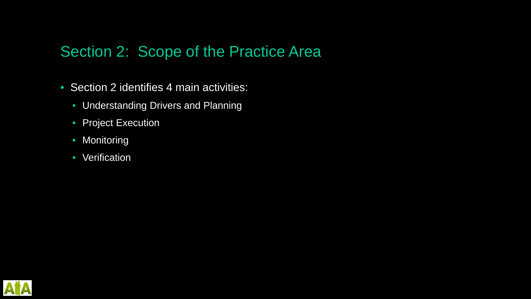#### Section 2: Scope of the Practice Area

- Section 2 identifies 4 main activities:
	- Understanding Drivers and Planning
	- Project Execution
	- Monitoring
	- Verification

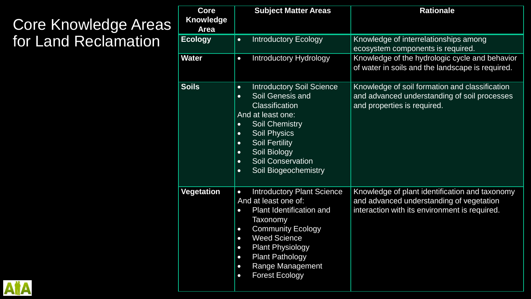### Core Knowledge Areas for Land Reclamation

| <b>Core</b><br><b>Knowledge</b><br><b>Area</b> | <b>Subject Matter Areas</b>                                                                                                                                                                                                                                                                                                                                           | <b>Rationale</b>                                                                                                                            |
|------------------------------------------------|-----------------------------------------------------------------------------------------------------------------------------------------------------------------------------------------------------------------------------------------------------------------------------------------------------------------------------------------------------------------------|---------------------------------------------------------------------------------------------------------------------------------------------|
| <b>Ecology</b>                                 | <b>Introductory Ecology</b><br>$\bullet$                                                                                                                                                                                                                                                                                                                              | Knowledge of interrelationships among<br>ecosystem components is required.                                                                  |
| <b>Water</b>                                   | <b>Introductory Hydrology</b><br>$\bullet$                                                                                                                                                                                                                                                                                                                            | Knowledge of the hydrologic cycle and behavior<br>of water in soils and the landscape is required.                                          |
| <b>Soils</b>                                   | <b>Introductory Soil Science</b><br>$\bullet$<br>Soil Genesis and<br>$\bullet$<br>Classification<br>And at least one:<br><b>Soil Chemistry</b><br>$\bullet$<br><b>Soil Physics</b><br>$\bullet$<br><b>Soil Fertility</b><br>$\bullet$<br>Soil Biology<br>$\bullet$<br><b>Soil Conservation</b><br>$\bullet$<br>Soil Biogeochemistry<br>$\bullet$                      | Knowledge of soil formation and classification<br>and advanced understanding of soil processes<br>and properties is required.               |
| <b>Vegetation</b>                              | <b>Introductory Plant Science</b><br>$\bullet$<br>And at least one of:<br><b>Plant Identification and</b><br>$\bullet$<br>Taxonomy<br><b>Community Ecology</b><br>$\bullet$<br><b>Weed Science</b><br>$\bullet$<br><b>Plant Physiology</b><br>$\bullet$<br><b>Plant Pathology</b><br>$\bullet$<br>Range Management<br>$\bullet$<br><b>Forest Ecology</b><br>$\bullet$ | Knowledge of plant identification and taxonomy<br>and advanced understanding of vegetation<br>interaction with its environment is required. |

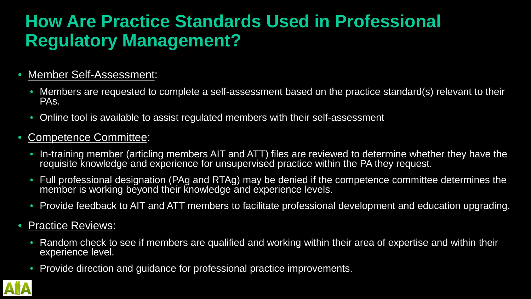## **How Are Practice Standards Used in Professional Regulatory Management?**

#### • Member Self-Assessment:

- Members are requested to complete a self-assessment based on the practice standard(s) relevant to their PAs.
- Online tool is available to assist regulated members with their self-assessment

#### • Competence Committee:

- In-training member (articling members AIT and ATT) files are reviewed to determine whether they have the requisite knowledge and experience for unsupervised practice within the PA they request.
- Full professional designation (PAg and RTAg) may be denied if the competence committee determines the member is working beyond their knowledge and experience levels.
- Provide feedback to AIT and ATT members to facilitate professional development and education upgrading.

#### • Practice Reviews:

- Random check to see if members are qualified and working within their area of expertise and within their experience level.
- Provide direction and guidance for professional practice improvements.